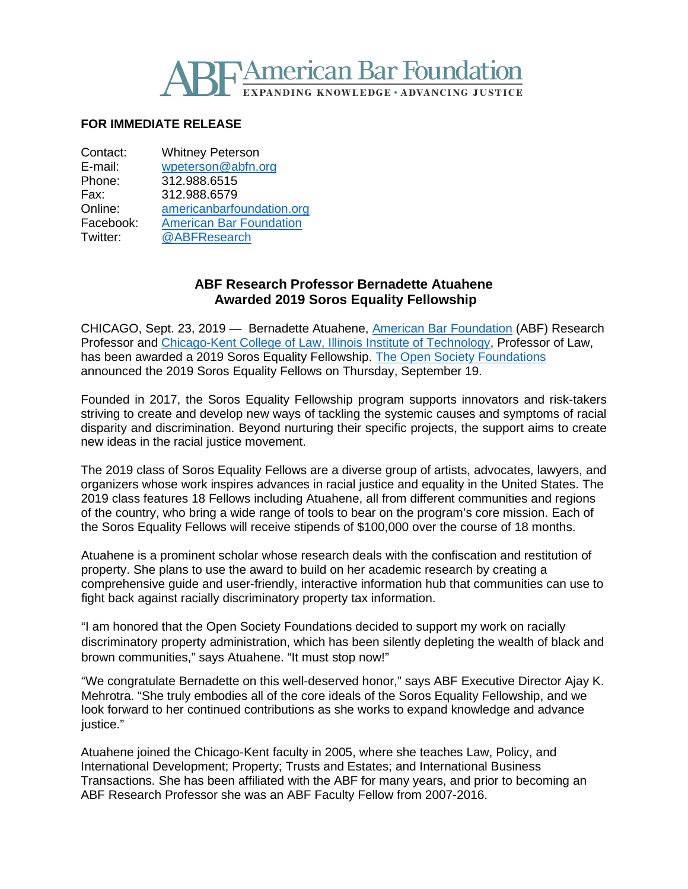

## **FOR IMMEDIATE RELEASE**

| Contact:  | <b>Whitney Peterson</b>        |
|-----------|--------------------------------|
| E-mail:   | wpeterson@abfn.org             |
| Phone:    | 312.988.6515                   |
| Fax:      | 312.988.6579                   |
| Online:   | americanbarfoundation.org      |
| Facebook: | <b>American Bar Foundation</b> |
| Twitter:  | @ABFResearch                   |
|           |                                |

## **ABF Research Professor Bernadette Atuahene Awarded 2019 Soros Equality Fellowship**

CHICAGO, Sept. 23, 2019 — Bernadette Atuahene, American Bar [Foundation](http://www.americanbarfoundation.org/index.html) (ABF) Research Professor and [Chicago-Kent](https://www.kentlaw.iit.edu/) College of Law, Illinois Institute of Technology, Professor of Law, has been awarded a 2019 Soros Equality Fellowship. The Open Society [Foundations](https://www.opensocietyfoundations.org/) announced the 2019 Soros Equality Fellows on Thursday, September 19.

Founded in 2017, the Soros Equality Fellowship program supports innovators and risk-takers striving to create and develop new ways of tackling the systemic causes and symptoms of racial disparity and discrimination. Beyond nurturing their specific projects, the support aims to create new ideas in the racial justice movement.

The 2019 class of Soros Equality Fellows are a diverse group of artists, advocates, lawyers, and organizers whose work inspires advances in racial justice and equality in the United States. The 2019 class features 18 Fellows including Atuahene, all from different communities and regions of the country, who bring a wide range of tools to bear on the program's core mission. Each of the Soros Equality Fellows will receive stipends of \$100,000 over the course of 18 months.

Atuahene is a prominent scholar whose research deals with the confiscation and restitution of property. She plans to use the award to build on her academic research by creating a comprehensive guide and user-friendly, interactive information hub that communities can use to fight back against racially discriminatory property tax information.

"I am honored that the Open Society Foundations decided to support my work on racially discriminatory property administration, which has been silently depleting the wealth of black and brown communities," says Atuahene. "It must stop now!"

"We congratulate Bernadette on this well-deserved honor," says ABF Executive Director Ajay K. Mehrotra. "She truly embodies all of the core ideals of the Soros Equality Fellowship, and we look forward to her continued contributions as she works to expand knowledge and advance iustice."

Atuahene joined the Chicago-Kent faculty in 2005, where she teaches Law, Policy, and International Development; Property; Trusts and Estates; and International Business Transactions. She has been affiliated with the ABF for many years, and prior to becoming an ABF Research Professor she was an ABF Faculty Fellow from 2007-2016.